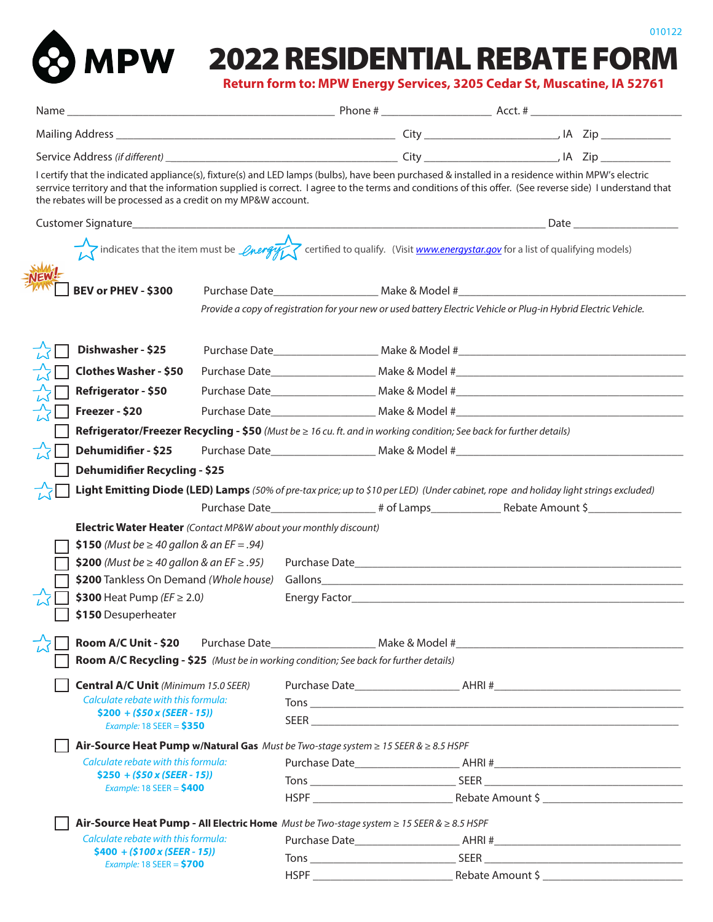



# **2022 RESIDENTIAL REBATE FORM**

**Return form to: MPW Energy Services, 3205 Cedar St, Muscatine, IA 52761**

|                                                                                                                                       | I certify that the indicated appliance(s), fixture(s) and LED lamps (bulbs), have been purchased & installed in a residence within MPW's electric<br>serrvice territory and that the information supplied is correct. I agree to the terms and conditions of this offer. (See reverse side) I understand that<br>the rebates will be processed as a credit on my MP&W account. |  |  |  |  |  |  |  |  |
|---------------------------------------------------------------------------------------------------------------------------------------|--------------------------------------------------------------------------------------------------------------------------------------------------------------------------------------------------------------------------------------------------------------------------------------------------------------------------------------------------------------------------------|--|--|--|--|--|--|--|--|
|                                                                                                                                       |                                                                                                                                                                                                                                                                                                                                                                                |  |  |  |  |  |  |  |  |
| indicates that the item must be <i>Opergy</i> certified to qualify. (Visit <i>www.energystar.gov</i> for a list of qualifying models) |                                                                                                                                                                                                                                                                                                                                                                                |  |  |  |  |  |  |  |  |
| BEV or PHEV - \$300                                                                                                                   |                                                                                                                                                                                                                                                                                                                                                                                |  |  |  |  |  |  |  |  |
|                                                                                                                                       | Provide a copy of registration for your new or used battery Electric Vehicle or Plug-in Hybrid Electric Vehicle.                                                                                                                                                                                                                                                               |  |  |  |  |  |  |  |  |
| Dishwasher - \$25                                                                                                                     |                                                                                                                                                                                                                                                                                                                                                                                |  |  |  |  |  |  |  |  |
| <b>Clothes Washer - \$50</b>                                                                                                          |                                                                                                                                                                                                                                                                                                                                                                                |  |  |  |  |  |  |  |  |
| Refrigerator - \$50                                                                                                                   |                                                                                                                                                                                                                                                                                                                                                                                |  |  |  |  |  |  |  |  |
| Freezer - \$20                                                                                                                        |                                                                                                                                                                                                                                                                                                                                                                                |  |  |  |  |  |  |  |  |
| Refrigerator/Freezer Recycling - \$50 (Must be $\geq$ 16 cu. ft. and in working condition; See back for further details)              |                                                                                                                                                                                                                                                                                                                                                                                |  |  |  |  |  |  |  |  |
| Dehumidifier - \$25                                                                                                                   |                                                                                                                                                                                                                                                                                                                                                                                |  |  |  |  |  |  |  |  |
| <b>Dehumidifier Recycling - \$25</b>                                                                                                  |                                                                                                                                                                                                                                                                                                                                                                                |  |  |  |  |  |  |  |  |
| Light Emitting Diode (LED) Lamps (50% of pre-tax price; up to \$10 per LED) (Under cabinet, rope and holiday light strings excluded)  |                                                                                                                                                                                                                                                                                                                                                                                |  |  |  |  |  |  |  |  |
|                                                                                                                                       | Purchase Date________________________# of Lamps__________________________________                                                                                                                                                                                                                                                                                              |  |  |  |  |  |  |  |  |
| <b>Electric Water Heater</b> (Contact MP&W about your monthly discount)                                                               |                                                                                                                                                                                                                                                                                                                                                                                |  |  |  |  |  |  |  |  |
|                                                                                                                                       | \$150 (Must be $\geq 40$ gallon & an EF = .94)                                                                                                                                                                                                                                                                                                                                 |  |  |  |  |  |  |  |  |
| \$200 (Must be ≥ 40 gallon & an EF ≥ .95)                                                                                             |                                                                                                                                                                                                                                                                                                                                                                                |  |  |  |  |  |  |  |  |
| \$200 Tankless On Demand (Whole house)<br>\$300 Heat Pump ( $EF \ge 2.0$ )                                                            | Gallons experience and the contract of the contract of the contract of the contract of the contract of the contract of the contract of the contract of the contract of the contract of the contract of the contract of the con                                                                                                                                                 |  |  |  |  |  |  |  |  |
| \$150 Desuperheater                                                                                                                   |                                                                                                                                                                                                                                                                                                                                                                                |  |  |  |  |  |  |  |  |
|                                                                                                                                       |                                                                                                                                                                                                                                                                                                                                                                                |  |  |  |  |  |  |  |  |
|                                                                                                                                       | Room A/C Recycling - \$25 (Must be in working condition; See back for further details)                                                                                                                                                                                                                                                                                         |  |  |  |  |  |  |  |  |
| <b>Central A/C Unit (Minimum 15.0 SEER)</b>                                                                                           |                                                                                                                                                                                                                                                                                                                                                                                |  |  |  |  |  |  |  |  |
| Calculate rebate with this formula:                                                                                                   |                                                                                                                                                                                                                                                                                                                                                                                |  |  |  |  |  |  |  |  |
| $$200 + ($50 x (SEER - 15))$<br>Example: 18 SEER = $$350$                                                                             |                                                                                                                                                                                                                                                                                                                                                                                |  |  |  |  |  |  |  |  |
| Air-Source Heat Pump w/Natural Gas Must be Two-stage system $\geq$ 15 SEER & $\geq$ 8.5 HSPF                                          |                                                                                                                                                                                                                                                                                                                                                                                |  |  |  |  |  |  |  |  |
| Calculate rebate with this formula:                                                                                                   |                                                                                                                                                                                                                                                                                                                                                                                |  |  |  |  |  |  |  |  |
| $$250 + ($50 x (SEER - 15))$                                                                                                          |                                                                                                                                                                                                                                                                                                                                                                                |  |  |  |  |  |  |  |  |
| Example: 18 SEER = $$400$                                                                                                             |                                                                                                                                                                                                                                                                                                                                                                                |  |  |  |  |  |  |  |  |
| Air-Source Heat Pump - All Electric Home Must be Two-stage system $\geq$ 15 SEER & $\geq$ 8.5 HSPF                                    |                                                                                                                                                                                                                                                                                                                                                                                |  |  |  |  |  |  |  |  |
| Calculate rebate with this formula:                                                                                                   |                                                                                                                                                                                                                                                                                                                                                                                |  |  |  |  |  |  |  |  |
| $$400 + ($100 x (SEER - 15))$<br>Example: 18 SEER = $$700$                                                                            |                                                                                                                                                                                                                                                                                                                                                                                |  |  |  |  |  |  |  |  |
|                                                                                                                                       |                                                                                                                                                                                                                                                                                                                                                                                |  |  |  |  |  |  |  |  |